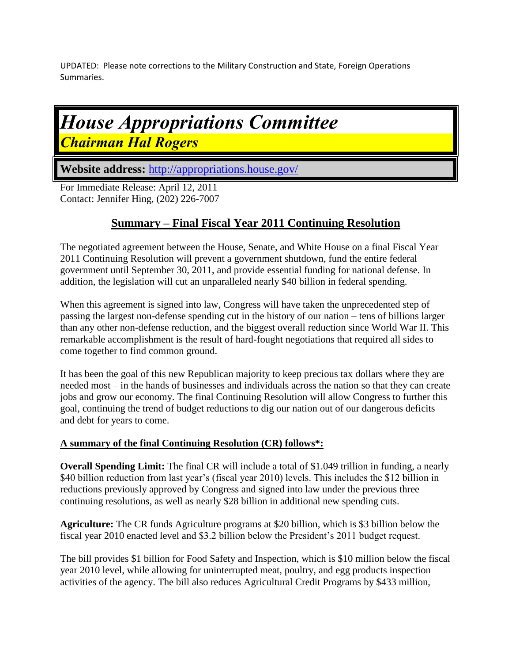UPDATED: Please note corrections to the Military Construction and State, Foreign Operations Summaries.

# *House Appropriations Committee Chairman Hal Rogers*

**Website address:** <http://appropriations.house.gov/>

For Immediate Release: April 12, 2011 Contact: Jennifer Hing, (202) 226-7007

## **Summary – Final Fiscal Year 2011 Continuing Resolution**

The negotiated agreement between the House, Senate, and White House on a final Fiscal Year 2011 Continuing Resolution will prevent a government shutdown, fund the entire federal government until September 30, 2011, and provide essential funding for national defense. In addition, the legislation will cut an unparalleled nearly \$40 billion in federal spending.

When this agreement is signed into law, Congress will have taken the unprecedented step of passing the largest non-defense spending cut in the history of our nation – tens of billions larger than any other non-defense reduction, and the biggest overall reduction since World War II. This remarkable accomplishment is the result of hard-fought negotiations that required all sides to come together to find common ground.

It has been the goal of this new Republican majority to keep precious tax dollars where they are needed most – in the hands of businesses and individuals across the nation so that they can create jobs and grow our economy. The final Continuing Resolution will allow Congress to further this goal, continuing the trend of budget reductions to dig our nation out of our dangerous deficits and debt for years to come.

#### **A summary of the final Continuing Resolution (CR) follows\*:**

**Overall Spending Limit:** The final CR will include a total of \$1.049 trillion in funding, a nearly \$40 billion reduction from last year's (fiscal year 2010) levels. This includes the \$12 billion in reductions previously approved by Congress and signed into law under the previous three continuing resolutions, as well as nearly \$28 billion in additional new spending cuts.

**Agriculture:** The CR funds Agriculture programs at \$20 billion, which is \$3 billion below the fiscal year 2010 enacted level and \$3.2 billion below the President's 2011 budget request.

The bill provides \$1 billion for Food Safety and Inspection, which is \$10 million below the fiscal year 2010 level, while allowing for uninterrupted meat, poultry, and egg products inspection activities of the agency. The bill also reduces Agricultural Credit Programs by \$433 million,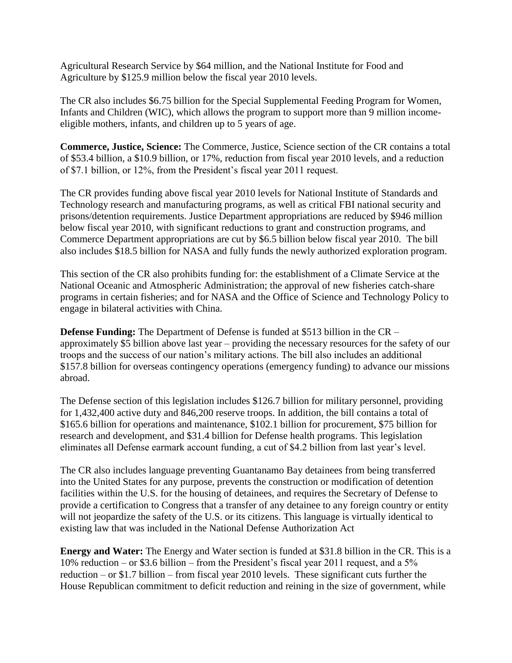Agricultural Research Service by \$64 million, and the National Institute for Food and Agriculture by \$125.9 million below the fiscal year 2010 levels.

The CR also includes \$6.75 billion for the Special Supplemental Feeding Program for Women, Infants and Children (WIC), which allows the program to support more than 9 million incomeeligible mothers, infants, and children up to 5 years of age.

**Commerce, Justice, Science:** The Commerce, Justice, Science section of the CR contains a total of \$53.4 billion, a \$10.9 billion, or 17%, reduction from fiscal year 2010 levels, and a reduction of \$7.1 billion, or 12%, from the President's fiscal year 2011 request.

The CR provides funding above fiscal year 2010 levels for National Institute of Standards and Technology research and manufacturing programs, as well as critical FBI national security and prisons/detention requirements. Justice Department appropriations are reduced by \$946 million below fiscal year 2010, with significant reductions to grant and construction programs, and Commerce Department appropriations are cut by \$6.5 billion below fiscal year 2010. The bill also includes \$18.5 billion for NASA and fully funds the newly authorized exploration program.

This section of the CR also prohibits funding for: the establishment of a Climate Service at the National Oceanic and Atmospheric Administration; the approval of new fisheries catch-share programs in certain fisheries; and for NASA and the Office of Science and Technology Policy to engage in bilateral activities with China.

**Defense Funding:** The Department of Defense is funded at \$513 billion in the CR – approximately \$5 billion above last year – providing the necessary resources for the safety of our troops and the success of our nation's military actions. The bill also includes an additional \$157.8 billion for overseas contingency operations (emergency funding) to advance our missions abroad.

The Defense section of this legislation includes \$126.7 billion for military personnel, providing for 1,432,400 active duty and 846,200 reserve troops. In addition, the bill contains a total of \$165.6 billion for operations and maintenance, \$102.1 billion for procurement, \$75 billion for research and development, and \$31.4 billion for Defense health programs. This legislation eliminates all Defense earmark account funding, a cut of \$4.2 billion from last year's level.

The CR also includes language preventing Guantanamo Bay detainees from being transferred into the United States for any purpose, prevents the construction or modification of detention facilities within the U.S. for the housing of detainees, and requires the Secretary of Defense to provide a certification to Congress that a transfer of any detainee to any foreign country or entity will not jeopardize the safety of the U.S. or its citizens. This language is virtually identical to existing law that was included in the National Defense Authorization Act

**Energy and Water:** The Energy and Water section is funded at \$31.8 billion in the CR. This is a 10% reduction – or \$3.6 billion – from the President's fiscal year 2011 request, and a 5% reduction – or \$1.7 billion – from fiscal year 2010 levels. These significant cuts further the House Republican commitment to deficit reduction and reining in the size of government, while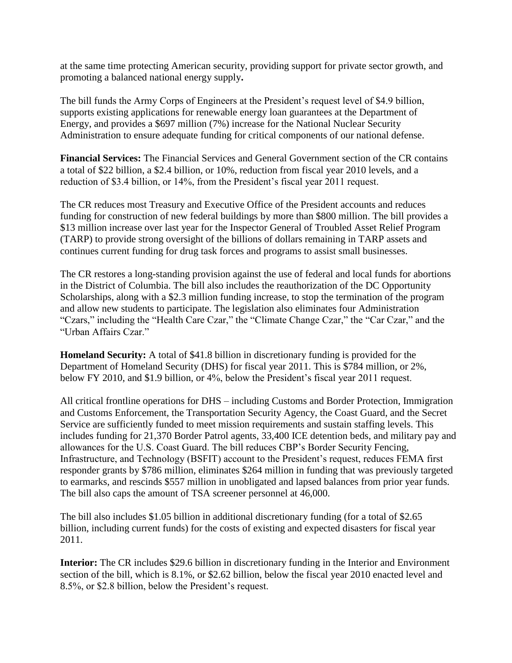at the same time protecting American security, providing support for private sector growth, and promoting a balanced national energy supply**.** 

The bill funds the Army Corps of Engineers at the President's request level of \$4.9 billion, supports existing applications for renewable energy loan guarantees at the Department of Energy, and provides a \$697 million (7%) increase for the National Nuclear Security Administration to ensure adequate funding for critical components of our national defense.

**Financial Services:** The Financial Services and General Government section of the CR contains a total of \$22 billion, a \$2.4 billion, or 10%, reduction from fiscal year 2010 levels, and a reduction of \$3.4 billion, or 14%, from the President's fiscal year 2011 request.

The CR reduces most Treasury and Executive Office of the President accounts and reduces funding for construction of new federal buildings by more than \$800 million. The bill provides a \$13 million increase over last year for the Inspector General of Troubled Asset Relief Program (TARP) to provide strong oversight of the billions of dollars remaining in TARP assets and continues current funding for drug task forces and programs to assist small businesses.

The CR restores a long-standing provision against the use of federal and local funds for abortions in the District of Columbia. The bill also includes the reauthorization of the DC Opportunity Scholarships, along with a \$2.3 million funding increase, to stop the termination of the program and allow new students to participate. The legislation also eliminates four Administration "Czars," including the "Health Care Czar," the "Climate Change Czar," the "Car Czar," and the "Urban Affairs Czar."

**Homeland Security:** A total of \$41.8 billion in discretionary funding is provided for the Department of Homeland Security (DHS) for fiscal year 2011. This is \$784 million, or 2%, below FY 2010, and \$1.9 billion, or 4%, below the President's fiscal year 2011 request.

All critical frontline operations for DHS – including Customs and Border Protection, Immigration and Customs Enforcement, the Transportation Security Agency, the Coast Guard, and the Secret Service are sufficiently funded to meet mission requirements and sustain staffing levels. This includes funding for 21,370 Border Patrol agents, 33,400 ICE detention beds, and military pay and allowances for the U.S. Coast Guard. The bill reduces CBP's Border Security Fencing, Infrastructure, and Technology (BSFIT) account to the President's request, reduces FEMA first responder grants by \$786 million, eliminates \$264 million in funding that was previously targeted to earmarks, and rescinds \$557 million in unobligated and lapsed balances from prior year funds. The bill also caps the amount of TSA screener personnel at 46,000.

The bill also includes \$1.05 billion in additional discretionary funding (for a total of \$2.65 billion, including current funds) for the costs of existing and expected disasters for fiscal year 2011.

**Interior:** The CR includes \$29.6 billion in discretionary funding in the Interior and Environment section of the bill, which is 8.1%, or \$2.62 billion, below the fiscal year 2010 enacted level and 8.5%, or \$2.8 billion, below the President's request.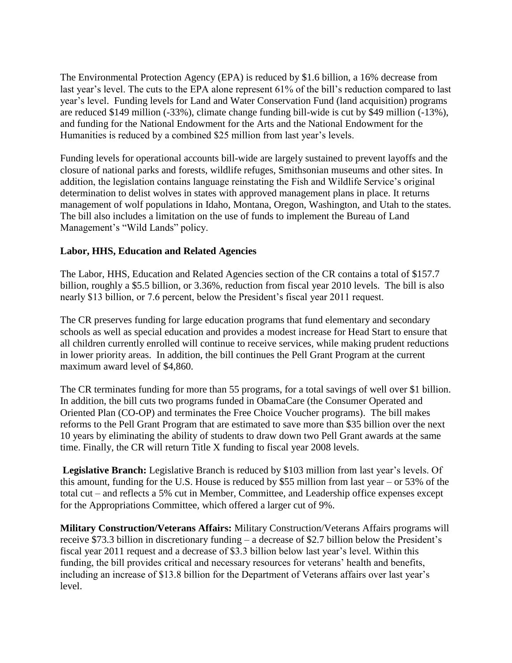The Environmental Protection Agency (EPA) is reduced by \$1.6 billion, a 16% decrease from last year's level. The cuts to the EPA alone represent 61% of the bill's reduction compared to last year's level. Funding levels for Land and Water Conservation Fund (land acquisition) programs are reduced \$149 million (-33%), climate change funding bill-wide is cut by \$49 million (-13%), and funding for the National Endowment for the Arts and the National Endowment for the Humanities is reduced by a combined \$25 million from last year's levels.

Funding levels for operational accounts bill-wide are largely sustained to prevent layoffs and the closure of national parks and forests, wildlife refuges, Smithsonian museums and other sites. In addition, the legislation contains language reinstating the Fish and Wildlife Service's original determination to delist wolves in states with approved management plans in place. It returns management of wolf populations in Idaho, Montana, Oregon, Washington, and Utah to the states. The bill also includes a limitation on the use of funds to implement the Bureau of Land Management's "Wild Lands" policy.

### **Labor, HHS, Education and Related Agencies**

The Labor, HHS, Education and Related Agencies section of the CR contains a total of \$157.7 billion, roughly a \$5.5 billion, or 3.36%, reduction from fiscal year 2010 levels. The bill is also nearly \$13 billion, or 7.6 percent, below the President's fiscal year 2011 request.

The CR preserves funding for large education programs that fund elementary and secondary schools as well as special education and provides a modest increase for Head Start to ensure that all children currently enrolled will continue to receive services, while making prudent reductions in lower priority areas. In addition, the bill continues the Pell Grant Program at the current maximum award level of \$4,860.

The CR terminates funding for more than 55 programs, for a total savings of well over \$1 billion. In addition, the bill cuts two programs funded in ObamaCare (the Consumer Operated and Oriented Plan (CO-OP) and terminates the Free Choice Voucher programs). The bill makes reforms to the Pell Grant Program that are estimated to save more than \$35 billion over the next 10 years by eliminating the ability of students to draw down two Pell Grant awards at the same time. Finally, the CR will return Title X funding to fiscal year 2008 levels.

**Legislative Branch:** Legislative Branch is reduced by \$103 million from last year's levels. Of this amount, funding for the U.S. House is reduced by \$55 million from last year – or 53% of the total cut – and reflects a 5% cut in Member, Committee, and Leadership office expenses except for the Appropriations Committee, which offered a larger cut of 9%.

**Military Construction/Veterans Affairs:** Military Construction/Veterans Affairs programs will receive \$73.3 billion in discretionary funding – a decrease of \$2.7 billion below the President's fiscal year 2011 request and a decrease of \$3.3 billion below last year's level. Within this funding, the bill provides critical and necessary resources for veterans' health and benefits, including an increase of \$13.8 billion for the Department of Veterans affairs over last year's level.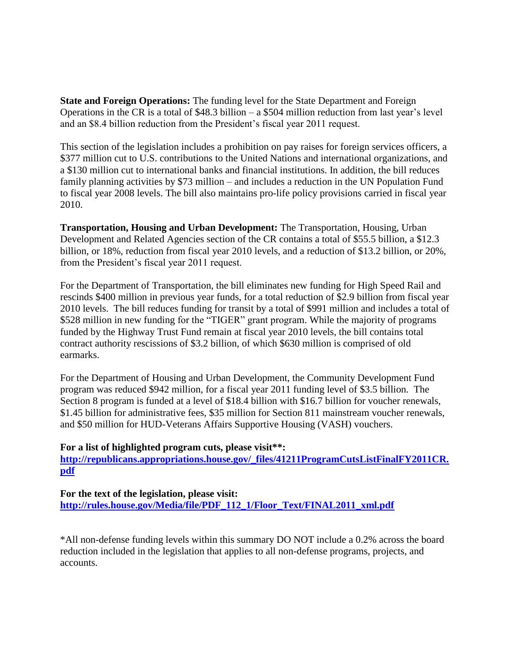**State and Foreign Operations:** The funding level for the State Department and Foreign Operations in the CR is a total of \$48.3 billion – a \$504 million reduction from last year's level and an \$8.4 billion reduction from the President's fiscal year 2011 request.

This section of the legislation includes a prohibition on pay raises for foreign services officers, a \$377 million cut to U.S. contributions to the United Nations and international organizations, and a \$130 million cut to international banks and financial institutions. In addition, the bill reduces family planning activities by \$73 million – and includes a reduction in the UN Population Fund to fiscal year 2008 levels. The bill also maintains pro-life policy provisions carried in fiscal year 2010.

**Transportation, Housing and Urban Development:** The Transportation, Housing, Urban Development and Related Agencies section of the CR contains a total of \$55.5 billion, a \$12.3 billion, or 18%, reduction from fiscal year 2010 levels, and a reduction of \$13.2 billion, or 20%, from the President's fiscal year 2011 request.

For the Department of Transportation, the bill eliminates new funding for High Speed Rail and rescinds \$400 million in previous year funds, for a total reduction of \$2.9 billion from fiscal year 2010 levels. The bill reduces funding for transit by a total of \$991 million and includes a total of \$528 million in new funding for the "TIGER" grant program. While the majority of programs funded by the Highway Trust Fund remain at fiscal year 2010 levels, the bill contains total contract authority rescissions of \$3.2 billion, of which \$630 million is comprised of old earmarks.

For the Department of Housing and Urban Development, the Community Development Fund program was reduced \$942 million, for a fiscal year 2011 funding level of \$3.5 billion. The Section 8 program is funded at a level of \$18.4 billion with \$16.7 billion for voucher renewals, \$1.45 billion for administrative fees, \$35 million for Section 811 mainstream voucher renewals, and \$50 million for HUD-Veterans Affairs Supportive Housing (VASH) vouchers.

#### **For a list of highlighted program cuts, please visit\*\*:**

**[http://republicans.appropriations.house.gov/\\_files/41211ProgramCutsListFinalFY2011CR.](http://republicans.appropriations.house.gov/_files/41211ProgramCutsListFinalFY2011CR.pdf) [pdf](http://republicans.appropriations.house.gov/_files/41211ProgramCutsListFinalFY2011CR.pdf)**

**For the text of the legislation, please visit: [http://rules.house.gov/Media/file/PDF\\_112\\_1/Floor\\_Text/FINAL2011\\_xml.pdf](http://rules.house.gov/Media/file/PDF_112_1/Floor_Text/FINAL2011_xml.pdf)**

\*All non-defense funding levels within this summary DO NOT include a 0.2% across the board reduction included in the legislation that applies to all non-defense programs, projects, and accounts.